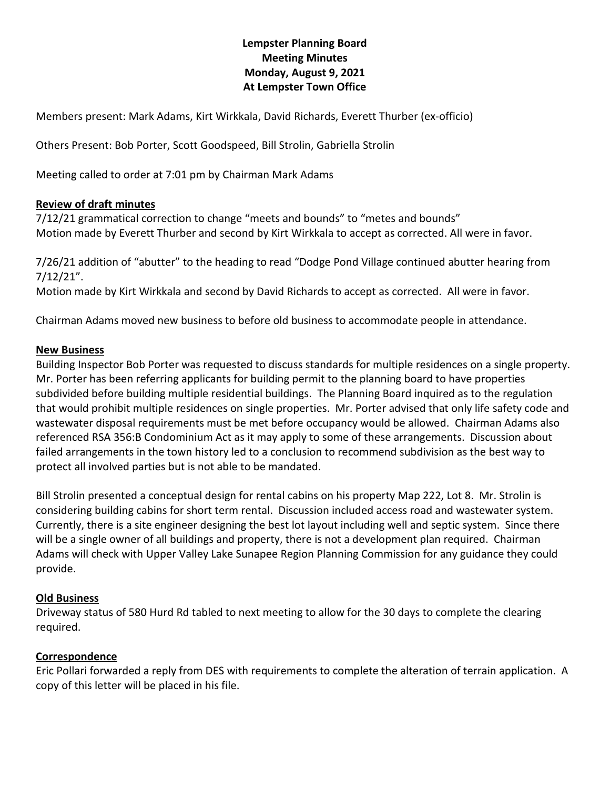# **Lempster Planning Board Meeting Minutes Monday, August 9, 2021 At Lempster Town Office**

Members present: Mark Adams, Kirt Wirkkala, David Richards, Everett Thurber (ex-officio)

Others Present: Bob Porter, Scott Goodspeed, Bill Strolin, Gabriella Strolin

Meeting called to order at 7:01 pm by Chairman Mark Adams

### **Review of draft minutes**

7/12/21 grammatical correction to change "meets and bounds" to "metes and bounds" Motion made by Everett Thurber and second by Kirt Wirkkala to accept as corrected. All were in favor.

7/26/21 addition of "abutter" to the heading to read "Dodge Pond Village continued abutter hearing from 7/12/21".

Motion made by Kirt Wirkkala and second by David Richards to accept as corrected. All were in favor.

Chairman Adams moved new business to before old business to accommodate people in attendance.

### **New Business**

Building Inspector Bob Porter was requested to discuss standards for multiple residences on a single property. Mr. Porter has been referring applicants for building permit to the planning board to have properties subdivided before building multiple residential buildings. The Planning Board inquired as to the regulation that would prohibit multiple residences on single properties. Mr. Porter advised that only life safety code and wastewater disposal requirements must be met before occupancy would be allowed. Chairman Adams also referenced RSA 356:B Condominium Act as it may apply to some of these arrangements. Discussion about failed arrangements in the town history led to a conclusion to recommend subdivision as the best way to protect all involved parties but is not able to be mandated.

Bill Strolin presented a conceptual design for rental cabins on his property Map 222, Lot 8. Mr. Strolin is considering building cabins for short term rental. Discussion included access road and wastewater system. Currently, there is a site engineer designing the best lot layout including well and septic system. Since there will be a single owner of all buildings and property, there is not a development plan required. Chairman Adams will check with Upper Valley Lake Sunapee Region Planning Commission for any guidance they could provide.

### **Old Business**

Driveway status of 580 Hurd Rd tabled to next meeting to allow for the 30 days to complete the clearing required.

## **Correspondence**

Eric Pollari forwarded a reply from DES with requirements to complete the alteration of terrain application. A copy of this letter will be placed in his file.